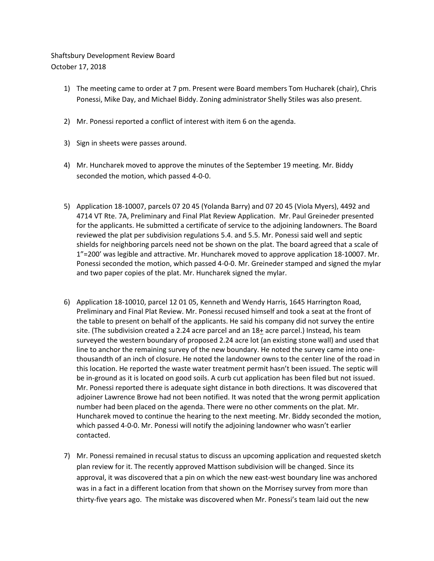## Shaftsbury Development Review Board October 17, 2018

- 1) The meeting came to order at 7 pm. Present were Board members Tom Hucharek (chair), Chris Ponessi, Mike Day, and Michael Biddy. Zoning administrator Shelly Stiles was also present.
- 2) Mr. Ponessi reported a conflict of interest with item 6 on the agenda.
- 3) Sign in sheets were passes around.
- 4) Mr. Huncharek moved to approve the minutes of the September 19 meeting. Mr. Biddy seconded the motion, which passed 4-0-0.
- 5) Application 18-10007, parcels 07 20 45 (Yolanda Barry) and 07 20 45 (Viola Myers), 4492 and 4714 VT Rte. 7A, Preliminary and Final Plat Review Application. Mr. Paul Greineder presented for the applicants. He submitted a certificate of service to the adjoining landowners. The Board reviewed the plat per subdivision regulations 5.4. and 5.5. Mr. Ponessi said well and septic shields for neighboring parcels need not be shown on the plat. The board agreed that a scale of 1"=200' was legible and attractive. Mr. Huncharek moved to approve application 18-10007. Mr. Ponessi seconded the motion, which passed 4-0-0. Mr. Greineder stamped and signed the mylar and two paper copies of the plat. Mr. Huncharek signed the mylar.
- 6) Application 18-10010, parcel 12 01 05, Kenneth and Wendy Harris, 1645 Harrington Road, Preliminary and Final Plat Review. Mr. Ponessi recused himself and took a seat at the front of the table to present on behalf of the applicants. He said his company did not survey the entire site. (The subdivision created a 2.24 acre parcel and an 18+ acre parcel.) Instead, his team surveyed the western boundary of proposed 2.24 acre lot (an existing stone wall) and used that line to anchor the remaining survey of the new boundary. He noted the survey came into onethousandth of an inch of closure. He noted the landowner owns to the center line of the road in this location. He reported the waste water treatment permit hasn't been issued. The septic will be in-ground as it is located on good soils. A curb cut application has been filed but not issued. Mr. Ponessi reported there is adequate sight distance in both directions. It was discovered that adjoiner Lawrence Browe had not been notified. It was noted that the wrong permit application number had been placed on the agenda. There were no other comments on the plat. Mr. Huncharek moved to continue the hearing to the next meeting. Mr. Biddy seconded the motion, which passed 4-0-0. Mr. Ponessi will notify the adjoining landowner who wasn't earlier contacted.
- 7) Mr. Ponessi remained in recusal status to discuss an upcoming application and requested sketch plan review for it. The recently approved Mattison subdivision will be changed. Since its approval, it was discovered that a pin on which the new east-west boundary line was anchored was in a fact in a different location from that shown on the Morrisey survey from more than thirty-five years ago. The mistake was discovered when Mr. Ponessi's team laid out the new